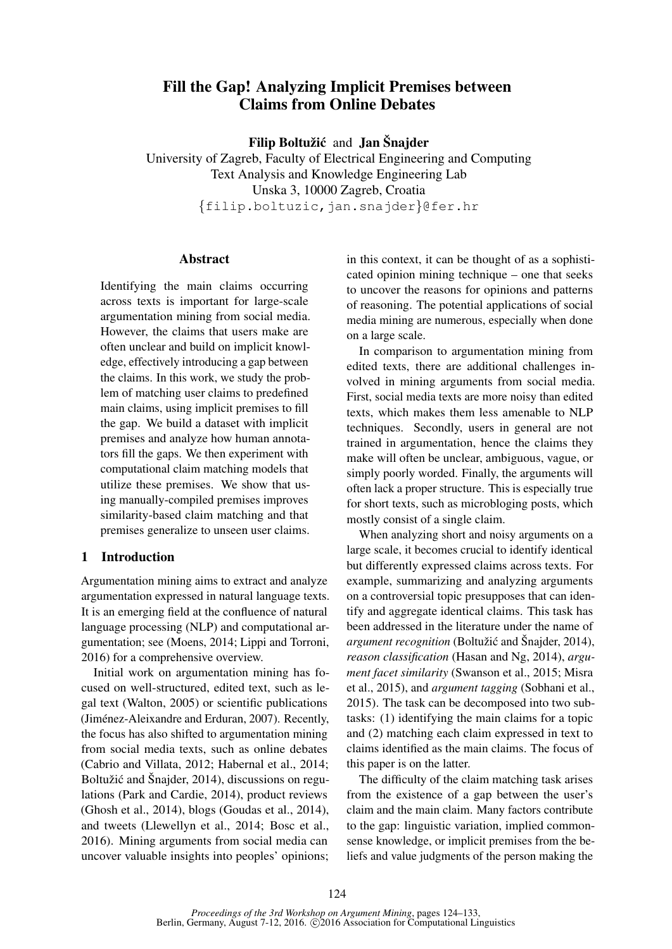# Fill the Gap! Analyzing Implicit Premises between Claims from Online Debates

Filip Boltužić and Jan Šnajder

University of Zagreb, Faculty of Electrical Engineering and Computing Text Analysis and Knowledge Engineering Lab Unska 3, 10000 Zagreb, Croatia {filip.boltuzic,jan.snajder}@fer.hr

# Abstract

Identifying the main claims occurring across texts is important for large-scale argumentation mining from social media. However, the claims that users make are often unclear and build on implicit knowledge, effectively introducing a gap between the claims. In this work, we study the problem of matching user claims to predefined main claims, using implicit premises to fill the gap. We build a dataset with implicit premises and analyze how human annotators fill the gaps. We then experiment with computational claim matching models that utilize these premises. We show that using manually-compiled premises improves similarity-based claim matching and that premises generalize to unseen user claims.

### 1 Introduction

Argumentation mining aims to extract and analyze argumentation expressed in natural language texts. It is an emerging field at the confluence of natural language processing (NLP) and computational argumentation; see (Moens, 2014; Lippi and Torroni, 2016) for a comprehensive overview.

Initial work on argumentation mining has focused on well-structured, edited text, such as legal text (Walton, 2005) or scientific publications (Jiménez-Aleixandre and Erduran, 2007). Recently, the focus has also shifted to argumentation mining from social media texts, such as online debates (Cabrio and Villata, 2012; Habernal et al., 2014; Boltužić and Šnajder, 2014), discussions on regulations (Park and Cardie, 2014), product reviews (Ghosh et al., 2014), blogs (Goudas et al., 2014), and tweets (Llewellyn et al., 2014; Bosc et al., 2016). Mining arguments from social media can uncover valuable insights into peoples' opinions;

in this context, it can be thought of as a sophisticated opinion mining technique – one that seeks to uncover the reasons for opinions and patterns of reasoning. The potential applications of social media mining are numerous, especially when done on a large scale.

In comparison to argumentation mining from edited texts, there are additional challenges involved in mining arguments from social media. First, social media texts are more noisy than edited texts, which makes them less amenable to NLP techniques. Secondly, users in general are not trained in argumentation, hence the claims they make will often be unclear, ambiguous, vague, or simply poorly worded. Finally, the arguments will often lack a proper structure. This is especially true for short texts, such as microbloging posts, which mostly consist of a single claim.

When analyzing short and noisy arguments on a large scale, it becomes crucial to identify identical but differently expressed claims across texts. For example, summarizing and analyzing arguments on a controversial topic presupposes that can identify and aggregate identical claims. This task has been addressed in the literature under the name of *argument recognition* (Boltužić and Šnajder, 2014), *reason classification* (Hasan and Ng, 2014), *argument facet similarity* (Swanson et al., 2015; Misra et al., 2015), and *argument tagging* (Sobhani et al., 2015). The task can be decomposed into two subtasks: (1) identifying the main claims for a topic and (2) matching each claim expressed in text to claims identified as the main claims. The focus of this paper is on the latter.

The difficulty of the claim matching task arises from the existence of a gap between the user's claim and the main claim. Many factors contribute to the gap: linguistic variation, implied commonsense knowledge, or implicit premises from the beliefs and value judgments of the person making the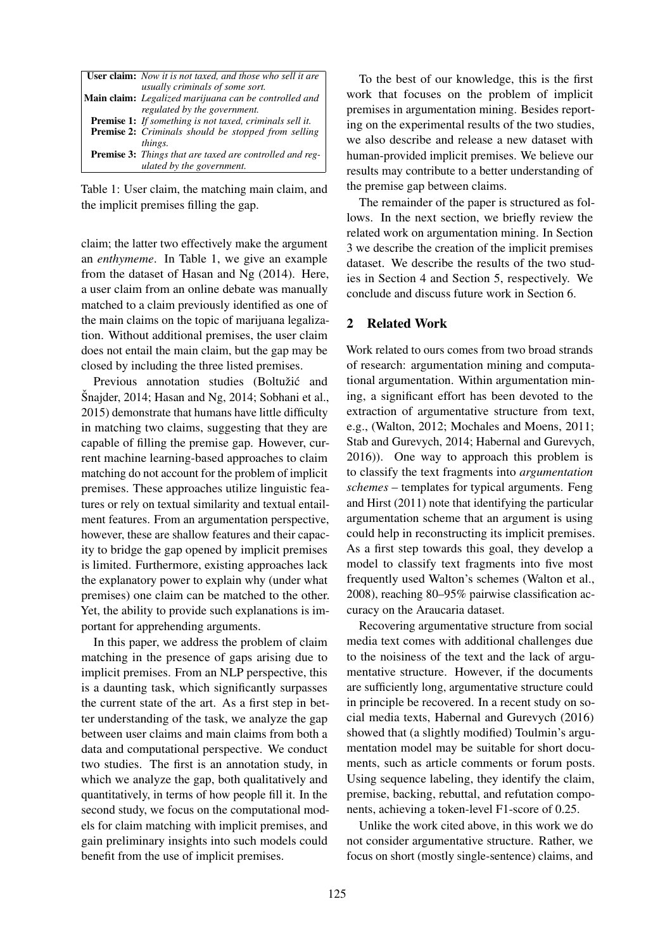| <b>User claim:</b> Now it is not taxed, and those who sell it are |
|-------------------------------------------------------------------|
| usually criminals of some sort.                                   |
| Main claim: Legalized marijuana can be controlled and             |
| regulated by the government.                                      |
| <b>Premise 1:</b> If something is not taxed, criminals sell it.   |
| <b>Premise 2:</b> Criminals should be stopped from selling        |
| things.                                                           |
| <b>Premise 3:</b> Things that are taxed are controlled and reg-   |
| ulated by the government.                                         |

Table 1: User claim, the matching main claim, and the implicit premises filling the gap.

claim; the latter two effectively make the argument an *enthymeme*. In Table 1, we give an example from the dataset of Hasan and Ng (2014). Here, a user claim from an online debate was manually matched to a claim previously identified as one of the main claims on the topic of marijuana legalization. Without additional premises, the user claim does not entail the main claim, but the gap may be closed by including the three listed premises.

Previous annotation studies (Boltužić and Snajder,  $2014$ ; Hasan and Ng,  $2014$ ; Sobhani et al., 2015) demonstrate that humans have little difficulty in matching two claims, suggesting that they are capable of filling the premise gap. However, current machine learning-based approaches to claim matching do not account for the problem of implicit premises. These approaches utilize linguistic features or rely on textual similarity and textual entailment features. From an argumentation perspective, however, these are shallow features and their capacity to bridge the gap opened by implicit premises is limited. Furthermore, existing approaches lack the explanatory power to explain why (under what premises) one claim can be matched to the other. Yet, the ability to provide such explanations is important for apprehending arguments.

In this paper, we address the problem of claim matching in the presence of gaps arising due to implicit premises. From an NLP perspective, this is a daunting task, which significantly surpasses the current state of the art. As a first step in better understanding of the task, we analyze the gap between user claims and main claims from both a data and computational perspective. We conduct two studies. The first is an annotation study, in which we analyze the gap, both qualitatively and quantitatively, in terms of how people fill it. In the second study, we focus on the computational models for claim matching with implicit premises, and gain preliminary insights into such models could benefit from the use of implicit premises.

To the best of our knowledge, this is the first work that focuses on the problem of implicit premises in argumentation mining. Besides reporting on the experimental results of the two studies, we also describe and release a new dataset with human-provided implicit premises. We believe our results may contribute to a better understanding of the premise gap between claims.

The remainder of the paper is structured as follows. In the next section, we briefly review the related work on argumentation mining. In Section 3 we describe the creation of the implicit premises dataset. We describe the results of the two studies in Section 4 and Section 5, respectively. We conclude and discuss future work in Section 6.

# 2 Related Work

Work related to ours comes from two broad strands of research: argumentation mining and computational argumentation. Within argumentation mining, a significant effort has been devoted to the extraction of argumentative structure from text, e.g., (Walton, 2012; Mochales and Moens, 2011; Stab and Gurevych, 2014; Habernal and Gurevych, 2016)). One way to approach this problem is to classify the text fragments into *argumentation schemes* – templates for typical arguments. Feng and Hirst (2011) note that identifying the particular argumentation scheme that an argument is using could help in reconstructing its implicit premises. As a first step towards this goal, they develop a model to classify text fragments into five most frequently used Walton's schemes (Walton et al., 2008), reaching 80–95% pairwise classification accuracy on the Araucaria dataset.

Recovering argumentative structure from social media text comes with additional challenges due to the noisiness of the text and the lack of argumentative structure. However, if the documents are sufficiently long, argumentative structure could in principle be recovered. In a recent study on social media texts, Habernal and Gurevych (2016) showed that (a slightly modified) Toulmin's argumentation model may be suitable for short documents, such as article comments or forum posts. Using sequence labeling, they identify the claim, premise, backing, rebuttal, and refutation components, achieving a token-level F1-score of 0.25.

Unlike the work cited above, in this work we do not consider argumentative structure. Rather, we focus on short (mostly single-sentence) claims, and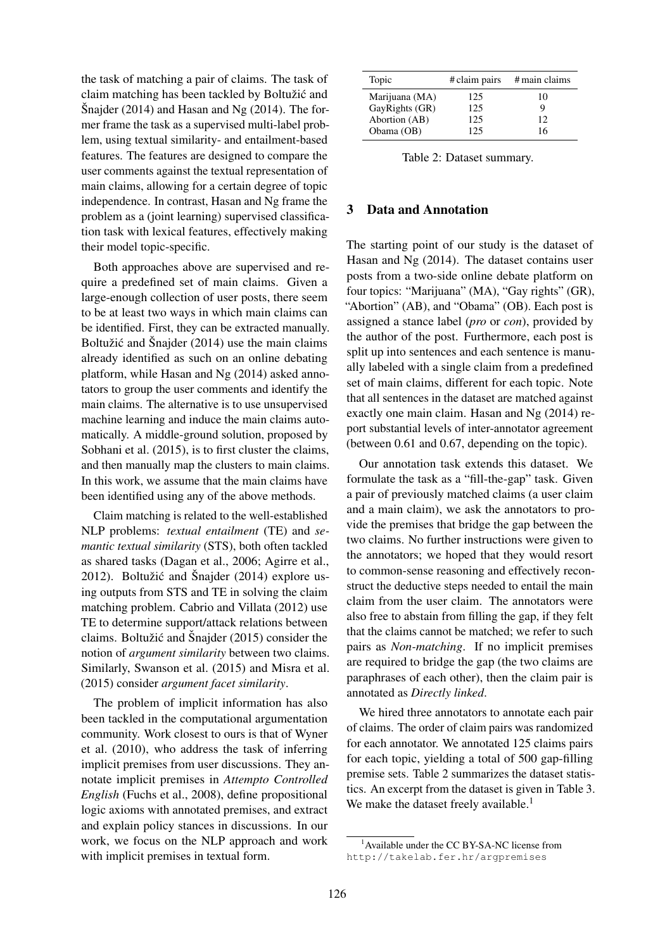the task of matching a pair of claims. The task of claim matching has been tackled by Boltužić and Snajder  $(2014)$  and Hasan and Ng  $(2014)$ . The former frame the task as a supervised multi-label problem, using textual similarity- and entailment-based features. The features are designed to compare the user comments against the textual representation of main claims, allowing for a certain degree of topic independence. In contrast, Hasan and Ng frame the problem as a (joint learning) supervised classification task with lexical features, effectively making their model topic-specific.

Both approaches above are supervised and require a predefined set of main claims. Given a large-enough collection of user posts, there seem to be at least two ways in which main claims can be identified. First, they can be extracted manually. Boltužić and Šnajder  $(2014)$  use the main claims already identified as such on an online debating platform, while Hasan and Ng (2014) asked annotators to group the user comments and identify the main claims. The alternative is to use unsupervised machine learning and induce the main claims automatically. A middle-ground solution, proposed by Sobhani et al. (2015), is to first cluster the claims, and then manually map the clusters to main claims. In this work, we assume that the main claims have been identified using any of the above methods.

Claim matching is related to the well-established NLP problems: *textual entailment* (TE) and *semantic textual similarity* (STS), both often tackled as shared tasks (Dagan et al., 2006; Agirre et al., 2012). Boltužić and Šnajder  $(2014)$  explore using outputs from STS and TE in solving the claim matching problem. Cabrio and Villata (2012) use TE to determine support/attack relations between claims. Boltužić and Šnajder  $(2015)$  consider the notion of *argument similarity* between two claims. Similarly, Swanson et al. (2015) and Misra et al. (2015) consider *argument facet similarity*.

The problem of implicit information has also been tackled in the computational argumentation community. Work closest to ours is that of Wyner et al. (2010), who address the task of inferring implicit premises from user discussions. They annotate implicit premises in *Attempto Controlled English* (Fuchs et al., 2008), define propositional logic axioms with annotated premises, and extract and explain policy stances in discussions. In our work, we focus on the NLP approach and work with implicit premises in textual form.

| Topic          | # claim pairs | # main claims |
|----------------|---------------|---------------|
| Marijuana (MA) | 125           | 10            |
| GayRights (GR) | 125           | q             |
| Abortion (AB)  | 125           | 12            |
| Obama (OB)     | 125           | 16            |

Table 2: Dataset summary.

# 3 Data and Annotation

The starting point of our study is the dataset of Hasan and Ng (2014). The dataset contains user posts from a two-side online debate platform on four topics: "Marijuana" (MA), "Gay rights" (GR), "Abortion" (AB), and "Obama" (OB). Each post is assigned a stance label (*pro* or *con*), provided by the author of the post. Furthermore, each post is split up into sentences and each sentence is manually labeled with a single claim from a predefined set of main claims, different for each topic. Note that all sentences in the dataset are matched against exactly one main claim. Hasan and Ng (2014) report substantial levels of inter-annotator agreement (between 0.61 and 0.67, depending on the topic).

Our annotation task extends this dataset. We formulate the task as a "fill-the-gap" task. Given a pair of previously matched claims (a user claim and a main claim), we ask the annotators to provide the premises that bridge the gap between the two claims. No further instructions were given to the annotators; we hoped that they would resort to common-sense reasoning and effectively reconstruct the deductive steps needed to entail the main claim from the user claim. The annotators were also free to abstain from filling the gap, if they felt that the claims cannot be matched; we refer to such pairs as *Non-matching*. If no implicit premises are required to bridge the gap (the two claims are paraphrases of each other), then the claim pair is annotated as *Directly linked*.

We hired three annotators to annotate each pair of claims. The order of claim pairs was randomized for each annotator. We annotated 125 claims pairs for each topic, yielding a total of 500 gap-filling premise sets. Table 2 summarizes the dataset statistics. An excerpt from the dataset is given in Table 3. We make the dataset freely available.<sup>1</sup>

<sup>&</sup>lt;sup>1</sup> Available under the CC BY-SA-NC license from http://takelab.fer.hr/argpremises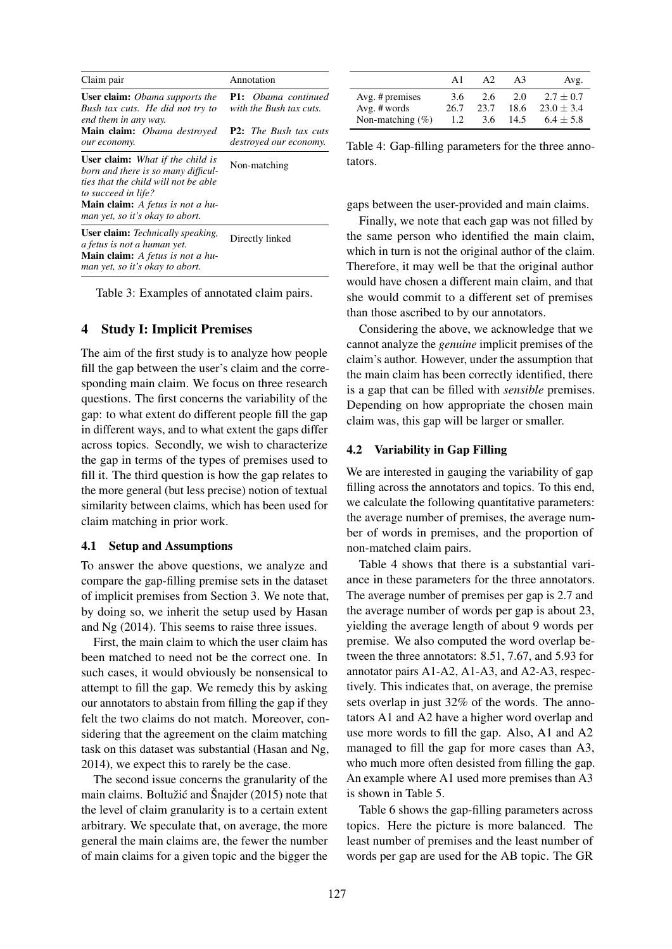| Claim pair                                                                                                                                                                                                                  | Annotation                                             |  |  |
|-----------------------------------------------------------------------------------------------------------------------------------------------------------------------------------------------------------------------------|--------------------------------------------------------|--|--|
| <b>User claim:</b> <i>Obama supports the</i><br>Bush tax cuts. He did not try to                                                                                                                                            | <b>P1:</b> Obama continued<br>with the Bush tax cuts.  |  |  |
| end them in any way.<br><b>Main claim:</b> Obama destroyed<br>our economy.                                                                                                                                                  | <b>P2:</b> The Bush tax cuts<br>destroved our economy. |  |  |
| <b>User claim:</b> What if the child is<br>born and there is so many difficul-<br>ties that the child will not be able<br>to succeed in life?<br><b>Main claim:</b> A fetus is not a hu-<br>man yet, so it's okay to abort. | Non-matching                                           |  |  |
| <b>User claim:</b> Technically speaking,<br>a fetus is not a human yet.<br><b>Main claim:</b> A fetus is not a hu-<br>man yet, so it's okay to abort.                                                                       | Directly linked                                        |  |  |

Table 3: Examples of annotated claim pairs.

# 4 Study I: Implicit Premises

The aim of the first study is to analyze how people fill the gap between the user's claim and the corresponding main claim. We focus on three research questions. The first concerns the variability of the gap: to what extent do different people fill the gap in different ways, and to what extent the gaps differ across topics. Secondly, we wish to characterize the gap in terms of the types of premises used to fill it. The third question is how the gap relates to the more general (but less precise) notion of textual similarity between claims, which has been used for claim matching in prior work.

#### 4.1 Setup and Assumptions

To answer the above questions, we analyze and compare the gap-filling premise sets in the dataset of implicit premises from Section 3. We note that, by doing so, we inherit the setup used by Hasan and Ng (2014). This seems to raise three issues.

First, the main claim to which the user claim has been matched to need not be the correct one. In such cases, it would obviously be nonsensical to attempt to fill the gap. We remedy this by asking our annotators to abstain from filling the gap if they felt the two claims do not match. Moreover, considering that the agreement on the claim matching task on this dataset was substantial (Hasan and Ng, 2014), we expect this to rarely be the case.

The second issue concerns the granularity of the main claims. Boltužić and Šnajder  $(2015)$  note that the level of claim granularity is to a certain extent arbitrary. We speculate that, on average, the more general the main claims are, the fewer the number of main claims for a given topic and the bigger the

|                     | Αl   | A2   | $A_3$ | Avg.         |
|---------------------|------|------|-------|--------------|
| Avg. # premises     | 3.6  | 2.6  | 2.0   | $2.7 + 0.7$  |
| Avg. # words        | 26.7 | 23.7 | 18.6  | $23.0 + 3.4$ |
| Non-matching $(\%)$ | 1.2. | 3.6  | 14.5  | $6.4 + 5.8$  |

Table 4: Gap-filling parameters for the three annotators.

gaps between the user-provided and main claims.

Finally, we note that each gap was not filled by the same person who identified the main claim, which in turn is not the original author of the claim. Therefore, it may well be that the original author would have chosen a different main claim, and that she would commit to a different set of premises than those ascribed to by our annotators.

Considering the above, we acknowledge that we cannot analyze the *genuine* implicit premises of the claim's author. However, under the assumption that the main claim has been correctly identified, there is a gap that can be filled with *sensible* premises. Depending on how appropriate the chosen main claim was, this gap will be larger or smaller.

#### 4.2 Variability in Gap Filling

We are interested in gauging the variability of gap filling across the annotators and topics. To this end, we calculate the following quantitative parameters: the average number of premises, the average number of words in premises, and the proportion of non-matched claim pairs.

Table 4 shows that there is a substantial variance in these parameters for the three annotators. The average number of premises per gap is 2.7 and the average number of words per gap is about 23, yielding the average length of about 9 words per premise. We also computed the word overlap between the three annotators: 8.51, 7.67, and 5.93 for annotator pairs A1-A2, A1-A3, and A2-A3, respectively. This indicates that, on average, the premise sets overlap in just 32% of the words. The annotators A1 and A2 have a higher word overlap and use more words to fill the gap. Also, A1 and A2 managed to fill the gap for more cases than A3, who much more often desisted from filling the gap. An example where A1 used more premises than A3 is shown in Table 5.

Table 6 shows the gap-filling parameters across topics. Here the picture is more balanced. The least number of premises and the least number of words per gap are used for the AB topic. The GR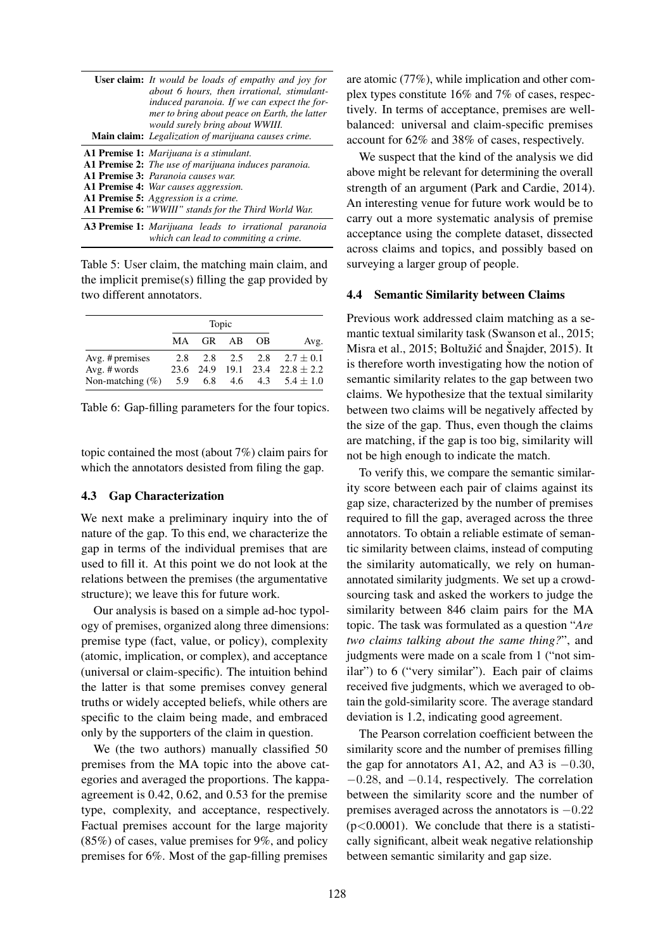| <b>User claim:</b> It would be loads of empathy and joy for<br>about 6 hours, then irrational, stimulant-<br>induced paranoia. If we can expect the for-<br>mer to bring about peace on Earth, the latter<br>would surely bring about WWIII. |
|----------------------------------------------------------------------------------------------------------------------------------------------------------------------------------------------------------------------------------------------|
| Main claim: Legalization of marijuana causes crime.                                                                                                                                                                                          |
| <b>A1 Premise 1:</b> Marijuana is a stimulant.<br>A1 Premise 2: The use of marijuana induces paranoia.<br>A1 Premise 3: Paranoia causes war.<br>A1 Premise 4: War causes aggression.                                                         |
| A1 Premise 5: Aggression is a crime.<br>A1 Premise 6: "WWIII" stands for the Third World War.                                                                                                                                                |
| <b>A3 Premise 1:</b> Marijuana leads to irrational paranoia<br>which can lead to commiting a crime.                                                                                                                                          |

Table 5: User claim, the matching main claim, and the implicit premise(s) filling the gap provided by two different annotators.

|                     |     | Topic |    |    |                                    |
|---------------------|-----|-------|----|----|------------------------------------|
|                     | MA. | GR —  | AB | OВ | Avg.                               |
| Avg. # premises     | 2.8 |       |    |    | 2.8 2.5 2.8 2.7 $\pm$ 0.1          |
| Avg. $# words$      |     |       |    |    | 23.6 24.9 19.1 23.4 22.8 $\pm$ 2.2 |
| Non-matching $(\%)$ | 5.9 |       |    |    | 6.8 4.6 4.3 $5.4 \pm 1.0$          |

|  | Table 6: Gap-filling parameters for the four topics. |  |  |
|--|------------------------------------------------------|--|--|
|  |                                                      |  |  |

topic contained the most (about 7%) claim pairs for which the annotators desisted from filing the gap.

### 4.3 Gap Characterization

We next make a preliminary inquiry into the of nature of the gap. To this end, we characterize the gap in terms of the individual premises that are used to fill it. At this point we do not look at the relations between the premises (the argumentative structure); we leave this for future work.

Our analysis is based on a simple ad-hoc typology of premises, organized along three dimensions: premise type (fact, value, or policy), complexity (atomic, implication, or complex), and acceptance (universal or claim-specific). The intuition behind the latter is that some premises convey general truths or widely accepted beliefs, while others are specific to the claim being made, and embraced only by the supporters of the claim in question.

We (the two authors) manually classified 50 premises from the MA topic into the above categories and averaged the proportions. The kappaagreement is 0.42, 0.62, and 0.53 for the premise type, complexity, and acceptance, respectively. Factual premises account for the large majority (85%) of cases, value premises for 9%, and policy premises for 6%. Most of the gap-filling premises

are atomic (77%), while implication and other complex types constitute 16% and 7% of cases, respectively. In terms of acceptance, premises are wellbalanced: universal and claim-specific premises account for 62% and 38% of cases, respectively.

We suspect that the kind of the analysis we did above might be relevant for determining the overall strength of an argument (Park and Cardie, 2014). An interesting venue for future work would be to carry out a more systematic analysis of premise acceptance using the complete dataset, dissected across claims and topics, and possibly based on surveying a larger group of people.

#### 4.4 Semantic Similarity between Claims

Previous work addressed claim matching as a semantic textual similarity task (Swanson et al., 2015; Misra et al.,  $2015$ ; Boltužić and Šnajder,  $2015$ ). It is therefore worth investigating how the notion of semantic similarity relates to the gap between two claims. We hypothesize that the textual similarity between two claims will be negatively affected by the size of the gap. Thus, even though the claims are matching, if the gap is too big, similarity will not be high enough to indicate the match.

To verify this, we compare the semantic similarity score between each pair of claims against its gap size, characterized by the number of premises required to fill the gap, averaged across the three annotators. To obtain a reliable estimate of semantic similarity between claims, instead of computing the similarity automatically, we rely on humanannotated similarity judgments. We set up a crowdsourcing task and asked the workers to judge the similarity between 846 claim pairs for the MA topic. The task was formulated as a question "*Are two claims talking about the same thing?*", and judgments were made on a scale from 1 ("not similar") to 6 ("very similar"). Each pair of claims received five judgments, which we averaged to obtain the gold-similarity score. The average standard deviation is 1.2, indicating good agreement.

The Pearson correlation coefficient between the similarity score and the number of premises filling the gap for annotators A1, A2, and A3 is  $-0.30$ , −0.28, and −0.14, respectively. The correlation between the similarity score and the number of premises averaged across the annotators is −0.22  $(p<0.0001)$ . We conclude that there is a statistically significant, albeit weak negative relationship between semantic similarity and gap size.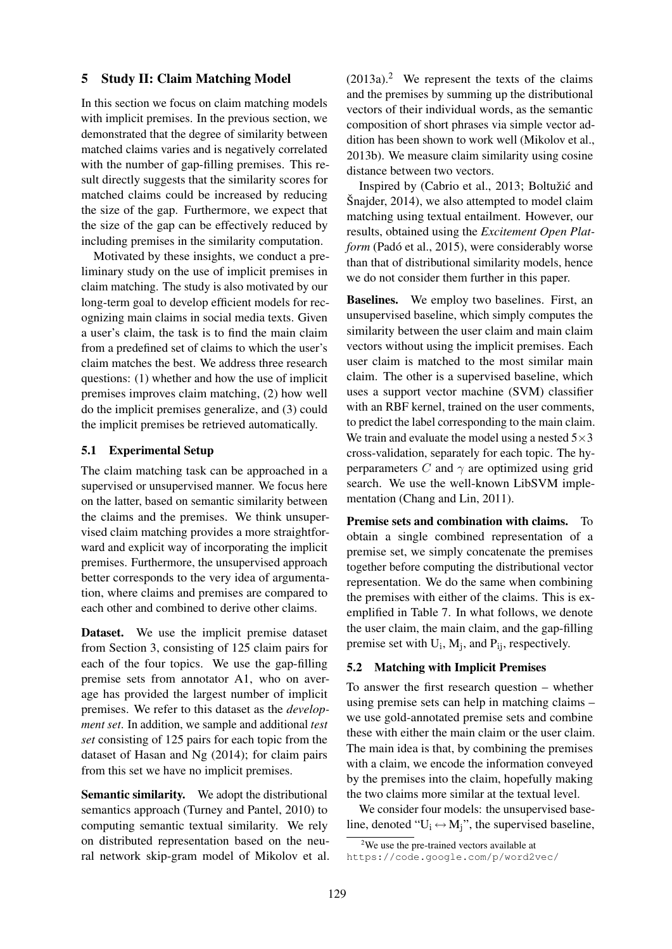# 5 Study II: Claim Matching Model

In this section we focus on claim matching models with implicit premises. In the previous section, we demonstrated that the degree of similarity between matched claims varies and is negatively correlated with the number of gap-filling premises. This result directly suggests that the similarity scores for matched claims could be increased by reducing the size of the gap. Furthermore, we expect that the size of the gap can be effectively reduced by including premises in the similarity computation.

Motivated by these insights, we conduct a preliminary study on the use of implicit premises in claim matching. The study is also motivated by our long-term goal to develop efficient models for recognizing main claims in social media texts. Given a user's claim, the task is to find the main claim from a predefined set of claims to which the user's claim matches the best. We address three research questions: (1) whether and how the use of implicit premises improves claim matching, (2) how well do the implicit premises generalize, and (3) could the implicit premises be retrieved automatically.

# 5.1 Experimental Setup

The claim matching task can be approached in a supervised or unsupervised manner. We focus here on the latter, based on semantic similarity between the claims and the premises. We think unsupervised claim matching provides a more straightforward and explicit way of incorporating the implicit premises. Furthermore, the unsupervised approach better corresponds to the very idea of argumentation, where claims and premises are compared to each other and combined to derive other claims.

Dataset. We use the implicit premise dataset from Section 3, consisting of 125 claim pairs for each of the four topics. We use the gap-filling premise sets from annotator A1, who on average has provided the largest number of implicit premises. We refer to this dataset as the *development set*. In addition, we sample and additional *test set* consisting of 125 pairs for each topic from the dataset of Hasan and Ng (2014); for claim pairs from this set we have no implicit premises.

Semantic similarity. We adopt the distributional semantics approach (Turney and Pantel, 2010) to computing semantic textual similarity. We rely on distributed representation based on the neural network skip-gram model of Mikolov et al.  $(2013a)^2$  We represent the texts of the claims and the premises by summing up the distributional vectors of their individual words, as the semantic composition of short phrases via simple vector addition has been shown to work well (Mikolov et al., 2013b). We measure claim similarity using cosine distance between two vectors.

Inspired by (Cabrio et al., 2013; Boltužić and  $\text{Snajder}, 2014$ ), we also attempted to model claim matching using textual entailment. However, our results, obtained using the *Excitement Open Platform* (Padó et al., 2015), were considerably worse than that of distributional similarity models, hence we do not consider them further in this paper.

Baselines. We employ two baselines. First, an unsupervised baseline, which simply computes the similarity between the user claim and main claim vectors without using the implicit premises. Each user claim is matched to the most similar main claim. The other is a supervised baseline, which uses a support vector machine (SVM) classifier with an RBF kernel, trained on the user comments, to predict the label corresponding to the main claim. We train and evaluate the model using a nested  $5\times3$ cross-validation, separately for each topic. The hyperparameters C and  $\gamma$  are optimized using grid search. We use the well-known LibSVM implementation (Chang and Lin, 2011).

Premise sets and combination with claims. To obtain a single combined representation of a premise set, we simply concatenate the premises together before computing the distributional vector representation. We do the same when combining the premises with either of the claims. This is exemplified in Table 7. In what follows, we denote the user claim, the main claim, and the gap-filling premise set with  $U_i$ ,  $M_j$ , and  $P_{ij}$ , respectively.

## 5.2 Matching with Implicit Premises

To answer the first research question – whether using premise sets can help in matching claims – we use gold-annotated premise sets and combine these with either the main claim or the user claim. The main idea is that, by combining the premises with a claim, we encode the information conveyed by the premises into the claim, hopefully making the two claims more similar at the textual level.

We consider four models: the unsupervised baseline, denoted " $U_i \leftrightarrow M_i$ ", the supervised baseline,

<sup>&</sup>lt;sup>2</sup>We use the pre-trained vectors available at https://code.google.com/p/word2vec/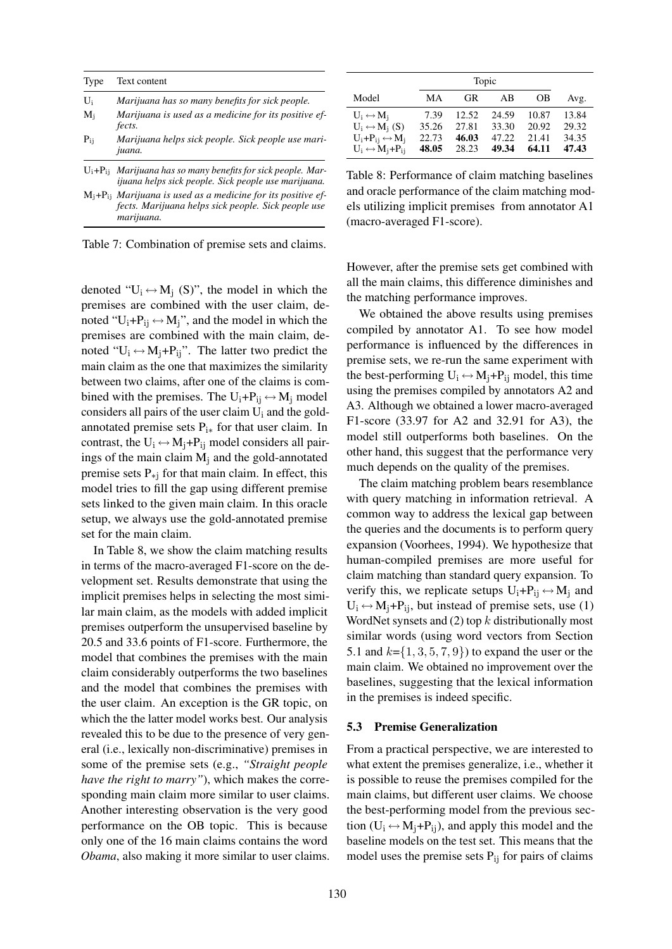| Type     | Text content                                                                                                                |
|----------|-----------------------------------------------------------------------------------------------------------------------------|
| $U_i$    | Marijuana has so many benefits for sick people.                                                                             |
| $M_i$    | Marijuana is used as a medicine for its positive ef-<br>fects.                                                              |
| $P_{ii}$ | Marijuana helps sick people. Sick people use mari-<br>juana.                                                                |
|          | $U_i + P_{ii}$ Marijuana has so many benefits for sick people. Mar-<br>ijuana helps sick people. Sick people use marijuana. |
|          | $M_i + P_{ii}$ Marijuana is used as a medicine for its positive ef-<br>fects. Marijuana helps sick people. Sick people use  |

Table 7: Combination of premise sets and claims.

*marijuana.*

denoted " $U_i \leftrightarrow M_i$  (S)", the model in which the premises are combined with the user claim, denoted " $U_i+P_{ij} \leftrightarrow M_i$ ", and the model in which the premises are combined with the main claim, denoted " $U_i \leftrightarrow M_i + P_{ij}$ ". The latter two predict the main claim as the one that maximizes the similarity between two claims, after one of the claims is combined with the premises. The  $U_i+P_{ii} \leftrightarrow M_i$  model considers all pairs of the user claim  $U_i$  and the goldannotated premise sets  $P_{i*}$  for that user claim. In contrast, the  $U_i \leftrightarrow M_j + P_{ij}$  model considers all pairings of the main claim  $M_i$  and the gold-annotated premise sets  $P_{*j}$  for that main claim. In effect, this model tries to fill the gap using different premise sets linked to the given main claim. In this oracle setup, we always use the gold-annotated premise set for the main claim.

In Table 8, we show the claim matching results in terms of the macro-averaged F1-score on the development set. Results demonstrate that using the implicit premises helps in selecting the most similar main claim, as the models with added implicit premises outperform the unsupervised baseline by 20.5 and 33.6 points of F1-score. Furthermore, the model that combines the premises with the main claim considerably outperforms the two baselines and the model that combines the premises with the user claim. An exception is the GR topic, on which the the latter model works best. Our analysis revealed this to be due to the presence of very general (i.e., lexically non-discriminative) premises in some of the premise sets (e.g., *"Straight people have the right to marry"*), which makes the corresponding main claim more similar to user claims. Another interesting observation is the very good performance on the OB topic. This is because only one of the 16 main claims contains the word *Obama*, also making it more similar to user claims.

|                                    |       | Topic     |       |       |       |  |  |
|------------------------------------|-------|-----------|-------|-------|-------|--|--|
| Model                              | MА    | <b>GR</b> | AB    | OВ    | Avg.  |  |  |
| $U_i \leftrightarrow M_i$          | 7.39  | 12.52     | 24.59 | 10.87 | 13.84 |  |  |
| $U_i \leftrightarrow M_i(S)$       | 35.26 | 27.81     | 33.30 | 20.92 | 29.32 |  |  |
| $U_i+P_{ii} \leftrightarrow M_i$   | 22.73 | 46.03     | 47.22 | 21.41 | 34.35 |  |  |
| $U_i \leftrightarrow M_i + P_{ii}$ | 48.05 | 28.23     | 49.34 | 64.11 | 47.43 |  |  |

Table 8: Performance of claim matching baselines and oracle performance of the claim matching models utilizing implicit premises from annotator A1 (macro-averaged F1-score).

However, after the premise sets get combined with all the main claims, this difference diminishes and the matching performance improves.

We obtained the above results using premises compiled by annotator A1. To see how model performance is influenced by the differences in premise sets, we re-run the same experiment with the best-performing  $U_i \leftrightarrow M_i + P_{ii}$  model, this time using the premises compiled by annotators A2 and A3. Although we obtained a lower macro-averaged F1-score (33.97 for A2 and 32.91 for A3), the model still outperforms both baselines. On the other hand, this suggest that the performance very much depends on the quality of the premises.

The claim matching problem bears resemblance with query matching in information retrieval. A common way to address the lexical gap between the queries and the documents is to perform query expansion (Voorhees, 1994). We hypothesize that human-compiled premises are more useful for claim matching than standard query expansion. To verify this, we replicate setups  $U_i+P_{ii} \leftrightarrow M_i$  and  $U_i \leftrightarrow M_i + P_{ij}$ , but instead of premise sets, use (1) WordNet synsets and  $(2)$  top k distributionally most similar words (using word vectors from Section 5.1 and  $k = \{1, 3, 5, 7, 9\}$  to expand the user or the main claim. We obtained no improvement over the baselines, suggesting that the lexical information in the premises is indeed specific.

### 5.3 Premise Generalization

From a practical perspective, we are interested to what extent the premises generalize, i.e., whether it is possible to reuse the premises compiled for the main claims, but different user claims. We choose the best-performing model from the previous section  $(U_i \leftrightarrow M_i + P_{ii})$ , and apply this model and the baseline models on the test set. This means that the model uses the premise sets  $P_{ij}$  for pairs of claims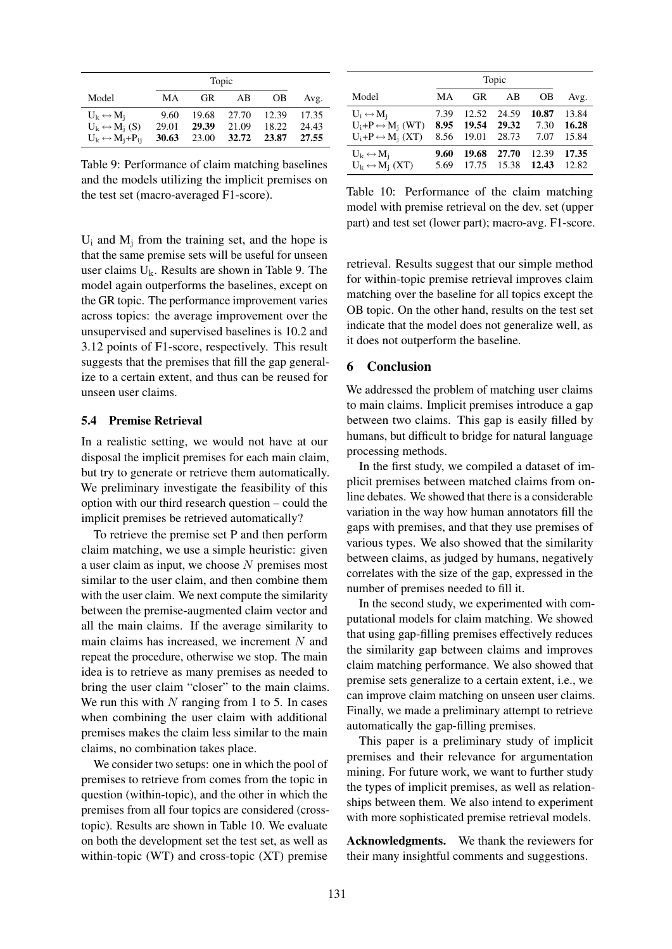|                                                                    |                | Topic          |                |                |                |  |
|--------------------------------------------------------------------|----------------|----------------|----------------|----------------|----------------|--|
| Model                                                              | MА             | GR.            | AB             | OВ             | Avg.           |  |
| $U_k \leftrightarrow M_i$                                          | 9.60           | 19.68          | 27.70          | 12.39          | 17.35          |  |
| $U_k \leftrightarrow M_i(S)$<br>$U_k \leftrightarrow M_i + P_{ij}$ | 29.01<br>30.63 | 29.39<br>23.00 | 21.09<br>32.72 | 18.22<br>23.87 | 24.43<br>27.55 |  |

Table 9: Performance of claim matching baselines and the models utilizing the implicit premises on the test set (macro-averaged F1-score).

 $U_i$  and  $M_i$  from the training set, and the hope is that the same premise sets will be useful for unseen user claims  $U_k$ . Results are shown in Table 9. The model again outperforms the baselines, except on the GR topic. The performance improvement varies across topics: the average improvement over the unsupervised and supervised baselines is 10.2 and 3.12 points of F1-score, respectively. This result suggests that the premises that fill the gap generalize to a certain extent, and thus can be reused for unseen user claims.

#### 5.4 Premise Retrieval

In a realistic setting, we would not have at our disposal the implicit premises for each main claim, but try to generate or retrieve them automatically. We preliminary investigate the feasibility of this option with our third research question – could the implicit premises be retrieved automatically?

To retrieve the premise set P and then perform claim matching, we use a simple heuristic: given a user claim as input, we choose N premises most similar to the user claim, and then combine them with the user claim. We next compute the similarity between the premise-augmented claim vector and all the main claims. If the average similarity to main claims has increased, we increment N and repeat the procedure, otherwise we stop. The main idea is to retrieve as many premises as needed to bring the user claim "closer" to the main claims. We run this with  $N$  ranging from 1 to 5. In cases when combining the user claim with additional premises makes the claim less similar to the main claims, no combination takes place.

We consider two setups: one in which the pool of premises to retrieve from comes from the topic in question (within-topic), and the other in which the premises from all four topics are considered (crosstopic). Results are shown in Table 10. We evaluate on both the development set the test set, as well as within-topic (WT) and cross-topic (XT) premise

|                                  |      | Topic     |       |       |       |  |
|----------------------------------|------|-----------|-------|-------|-------|--|
| Model                            | MA   | <b>GR</b> | AВ    | OВ    | Avg.  |  |
| $U_i \leftrightarrow M_i$        | 7.39 | 12.52     | 24.59 | 10.87 | 13.84 |  |
| $U_i+P \leftrightarrow M_i$ (WT) | 8.95 | 19.54     | 29.32 | 7.30  | 16.28 |  |
| $U_i+P \leftrightarrow M_i(XT)$  | 8.56 | 19.01     | 28.73 | 7.07  | 15.84 |  |
| $U_k \leftrightarrow M_i$        | 9.60 | 19.68     | 27.70 | 12.39 | 17.35 |  |
| $U_k \leftrightarrow M_i(XT)$    | 5.69 | 17.75     | 15.38 | 12.43 | 12.82 |  |

Table 10: Performance of the claim matching model with premise retrieval on the dev. set (upper part) and test set (lower part); macro-avg. F1-score.

retrieval. Results suggest that our simple method for within-topic premise retrieval improves claim matching over the baseline for all topics except the OB topic. On the other hand, results on the test set indicate that the model does not generalize well, as it does not outperform the baseline.

# 6 Conclusion

We addressed the problem of matching user claims to main claims. Implicit premises introduce a gap between two claims. This gap is easily filled by humans, but difficult to bridge for natural language processing methods.

In the first study, we compiled a dataset of implicit premises between matched claims from online debates. We showed that there is a considerable variation in the way how human annotators fill the gaps with premises, and that they use premises of various types. We also showed that the similarity between claims, as judged by humans, negatively correlates with the size of the gap, expressed in the number of premises needed to fill it.

In the second study, we experimented with computational models for claim matching. We showed that using gap-filling premises effectively reduces the similarity gap between claims and improves claim matching performance. We also showed that premise sets generalize to a certain extent, i.e., we can improve claim matching on unseen user claims. Finally, we made a preliminary attempt to retrieve automatically the gap-filling premises.

This paper is a preliminary study of implicit premises and their relevance for argumentation mining. For future work, we want to further study the types of implicit premises, as well as relationships between them. We also intend to experiment with more sophisticated premise retrieval models.

Acknowledgments. We thank the reviewers for their many insightful comments and suggestions.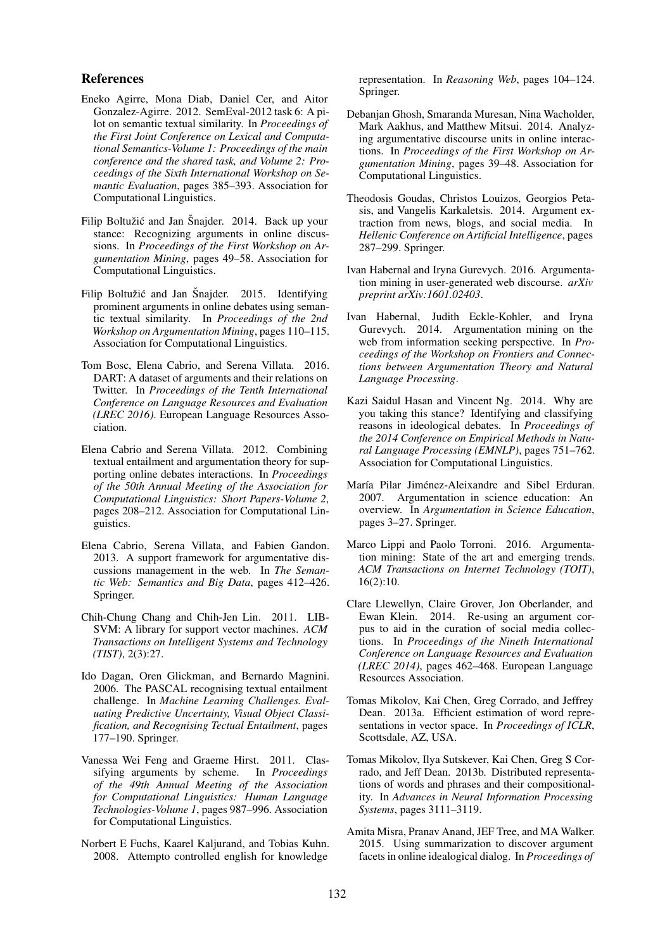#### References

- Eneko Agirre, Mona Diab, Daniel Cer, and Aitor Gonzalez-Agirre. 2012. SemEval-2012 task 6: A pilot on semantic textual similarity. In *Proceedings of the First Joint Conference on Lexical and Computational Semantics-Volume 1: Proceedings of the main conference and the shared task, and Volume 2: Proceedings of the Sixth International Workshop on Semantic Evaluation*, pages 385–393. Association for Computational Linguistics.
- Filip Boltužić and Jan Šnajder. 2014. Back up your stance: Recognizing arguments in online discussions. In *Proceedings of the First Workshop on Argumentation Mining*, pages 49–58. Association for Computational Linguistics.
- Filip Boltužić and Jan Šnajder. 2015. Identifying prominent arguments in online debates using semantic textual similarity. In *Proceedings of the 2nd Workshop on Argumentation Mining*, pages 110–115. Association for Computational Linguistics.
- Tom Bosc, Elena Cabrio, and Serena Villata. 2016. DART: A dataset of arguments and their relations on Twitter. In *Proceedings of the Tenth International Conference on Language Resources and Evaluation (LREC 2016)*. European Language Resources Association.
- Elena Cabrio and Serena Villata. 2012. Combining textual entailment and argumentation theory for supporting online debates interactions. In *Proceedings of the 50th Annual Meeting of the Association for Computational Linguistics: Short Papers-Volume 2*, pages 208–212. Association for Computational Linguistics.
- Elena Cabrio, Serena Villata, and Fabien Gandon. 2013. A support framework for argumentative discussions management in the web. In *The Semantic Web: Semantics and Big Data*, pages 412–426. Springer.
- Chih-Chung Chang and Chih-Jen Lin. 2011. LIB-SVM: A library for support vector machines. *ACM Transactions on Intelligent Systems and Technology (TIST)*, 2(3):27.
- Ido Dagan, Oren Glickman, and Bernardo Magnini. 2006. The PASCAL recognising textual entailment challenge. In *Machine Learning Challenges. Evaluating Predictive Uncertainty, Visual Object Classification, and Recognising Tectual Entailment*, pages 177–190. Springer.
- Vanessa Wei Feng and Graeme Hirst. 2011. Classifying arguments by scheme. In *Proceedings of the 49th Annual Meeting of the Association for Computational Linguistics: Human Language Technologies-Volume 1*, pages 987–996. Association for Computational Linguistics.
- Norbert E Fuchs, Kaarel Kaljurand, and Tobias Kuhn. 2008. Attempto controlled english for knowledge

representation. In *Reasoning Web*, pages 104–124. Springer.

- Debanjan Ghosh, Smaranda Muresan, Nina Wacholder, Mark Aakhus, and Matthew Mitsui. 2014. Analyzing argumentative discourse units in online interactions. In *Proceedings of the First Workshop on Argumentation Mining*, pages 39–48. Association for Computational Linguistics.
- Theodosis Goudas, Christos Louizos, Georgios Petasis, and Vangelis Karkaletsis. 2014. Argument extraction from news, blogs, and social media. In *Hellenic Conference on Artificial Intelligence*, pages 287–299. Springer.
- Ivan Habernal and Iryna Gurevych. 2016. Argumentation mining in user-generated web discourse. *arXiv preprint arXiv:1601.02403*.
- Ivan Habernal, Judith Eckle-Kohler, and Iryna Gurevych. 2014. Argumentation mining on the web from information seeking perspective. In *Proceedings of the Workshop on Frontiers and Connections between Argumentation Theory and Natural Language Processing*.
- Kazi Saidul Hasan and Vincent Ng. 2014. Why are you taking this stance? Identifying and classifying reasons in ideological debates. In *Proceedings of the 2014 Conference on Empirical Methods in Natural Language Processing (EMNLP)*, pages 751–762. Association for Computational Linguistics.
- María Pilar Jiménez-Aleixandre and Sibel Erduran. 2007. Argumentation in science education: An overview. In *Argumentation in Science Education*, pages 3–27. Springer.
- Marco Lippi and Paolo Torroni. 2016. Argumentation mining: State of the art and emerging trends. *ACM Transactions on Internet Technology (TOIT)*, 16(2):10.
- Clare Llewellyn, Claire Grover, Jon Oberlander, and Ewan Klein. 2014. Re-using an argument corpus to aid in the curation of social media collections. In *Proceedings of the Nineth International Conference on Language Resources and Evaluation (LREC 2014)*, pages 462–468. European Language Resources Association.
- Tomas Mikolov, Kai Chen, Greg Corrado, and Jeffrey Dean. 2013a. Efficient estimation of word representations in vector space. In *Proceedings of ICLR*, Scottsdale, AZ, USA.
- Tomas Mikolov, Ilya Sutskever, Kai Chen, Greg S Corrado, and Jeff Dean. 2013b. Distributed representations of words and phrases and their compositionality. In *Advances in Neural Information Processing Systems*, pages 3111–3119.
- Amita Misra, Pranav Anand, JEF Tree, and MA Walker. 2015. Using summarization to discover argument facets in online idealogical dialog. In *Proceedings of*